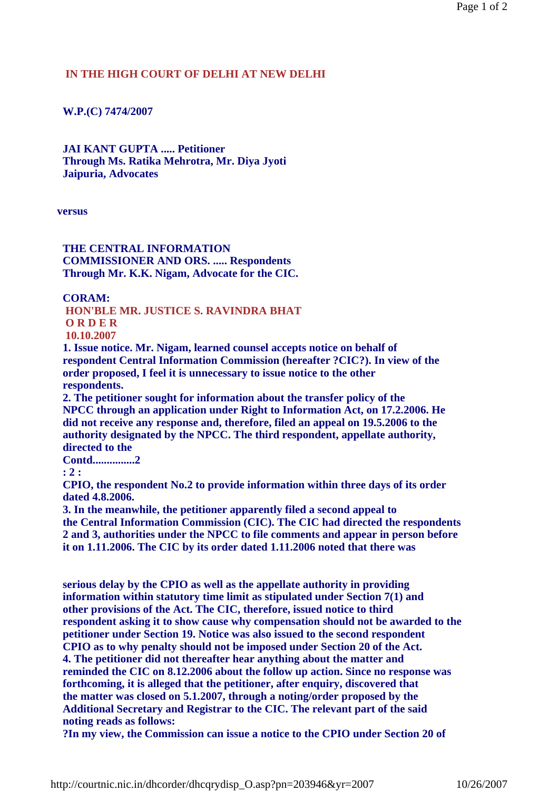## **IN THE HIGH COURT OF DELHI AT NEW DELHI**

## **W.P.(C) 7474/2007**

 **JAI KANT GUPTA ..... Petitioner Through Ms. Ratika Mehrotra, Mr. Diya Jyoti Jaipuria, Advocates** 

**versus** 

## **THE CENTRAL INFORMATION COMMISSIONER AND ORS. ..... Respondents Through Mr. K.K. Nigam, Advocate for the CIC.**

 **CORAM:** 

 **HON'BLE MR. JUSTICE S. RAVINDRA BHAT**

 **O R D E R**

 **10.10.2007**

 **1. Issue notice. Mr. Nigam, learned counsel accepts notice on behalf of respondent Central Information Commission (hereafter ?CIC?). In view of the order proposed, I feel it is unnecessary to issue notice to the other respondents.** 

 **2. The petitioner sought for information about the transfer policy of the NPCC through an application under Right to Information Act, on 17.2.2006. He did not receive any response and, therefore, filed an appeal on 19.5.2006 to the authority designated by the NPCC. The third respondent, appellate authority, directed to the** 

 **Contd...............2** 

 **: 2 :** 

 **CPIO, the respondent No.2 to provide information within three days of its order dated 4.8.2006.** 

 **3. In the meanwhile, the petitioner apparently filed a second appeal to the Central Information Commission (CIC). The CIC had directed the respondents 2 and 3, authorities under the NPCC to file comments and appear in person before it on 1.11.2006. The CIC by its order dated 1.11.2006 noted that there was** 

 **serious delay by the CPIO as well as the appellate authority in providing information within statutory time limit as stipulated under Section 7(1) and other provisions of the Act. The CIC, therefore, issued notice to third respondent asking it to show cause why compensation should not be awarded to the petitioner under Section 19. Notice was also issued to the second respondent CPIO as to why penalty should not be imposed under Section 20 of the Act. 4. The petitioner did not thereafter hear anything about the matter and reminded the CIC on 8.12.2006 about the follow up action. Since no response was forthcoming, it is alleged that the petitioner, after enquiry, discovered that the matter was closed on 5.1.2007, through a noting/order proposed by the Additional Secretary and Registrar to the CIC. The relevant part of the said noting reads as follows:** 

 **?In my view, the Commission can issue a notice to the CPIO under Section 20 of**